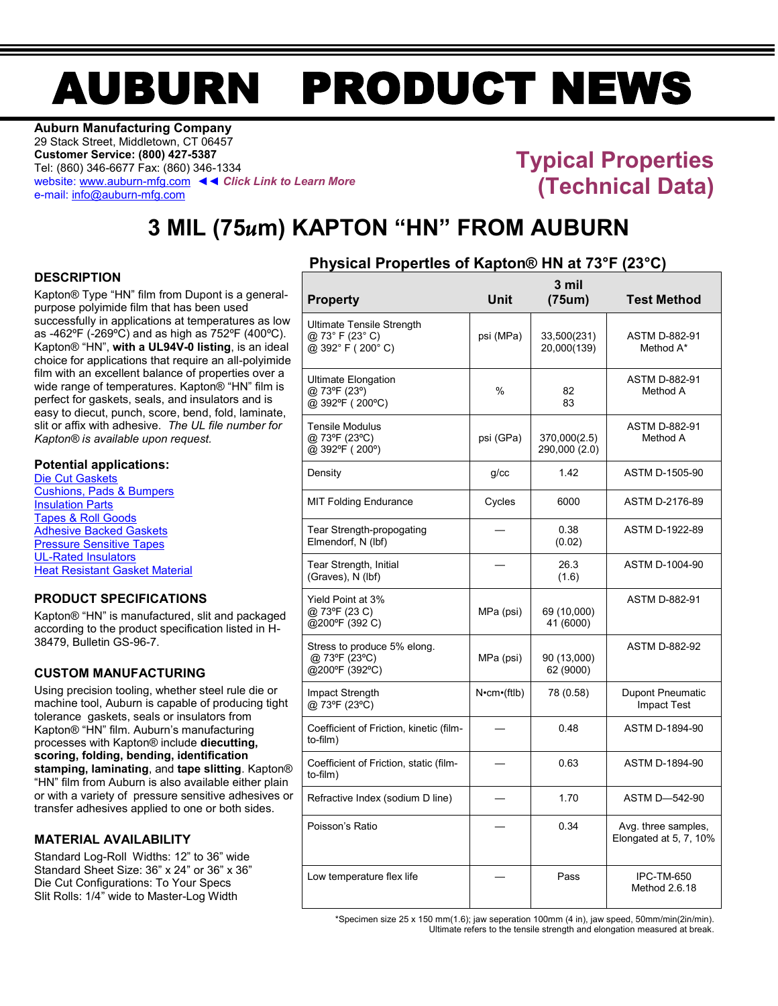# AUBURN PRODUCT NEWS

**Auburn Manufacturing Company** 29 Stack Street, Middletown, CT 06457 **Customer Service: (800) 427-5387** Tel: (860) 346-6677 Fax: (860) 346-1334 website[: www.auburn-mfg.com](http://www.auburn-mfg.com/) ◄◄ *Click Link to Learn More* e-mail[: info@auburn-mfg.com](mailto:info@auburn-mfg.com)

## **Typical Properties (Technical Data)**

# **3 MIL (75***u***m) KAPTON "HN" FROM AUBURN**

#### **DESCRIPTION**

Kapton® Type "HN" film from Dupont is a generalpurpose polyimide film that has been used successfully in applications at temperatures as low as -462ºF (-269ºC) and as high as 752ºF (400ºC). Kapton® "HN", **with a UL94V-0 listing**, is an ideal choice for applications that require an all-polyimide film with an excellent balance of properties over a wide range of temperatures. Kapton<sup>®</sup> "HN" film is perfect for gaskets, seals, and insulators and is easy to diecut, punch, score, bend, fold, laminate, slit or affix with adhesive. *The UL file number for Kapton® is available upon request.*

#### **Potential applications:**

[Die Cut Gaskets](http://www.auburn-mfg.com/products/gaskets.html) [Cushions, Pads & Bumpers](http://www.auburn-mfg.com/products/pads_cushions.html) [Insulation Parts](http://www.auburn-mfg.com/products/insulation_parts.html) [Tapes & Roll Goods](http://www.auburn-mfg.com/products/tapes.html) [Adhesive Backed Gaskets](http://www.auburn-mfg.com/products/adhesives.html) [Pressure Sensitive Tapes](http://www.auburn-mfg.com/products/saint_gobain.html) [UL-Rated Insulators](http://www.auburn-mfg.com/ul_rated_materials.html) Heat Resistant [Gasket Material](http://www.auburn-mfg.com/high_temperature_materials.html)

#### **PRODUCT SPECIFICATIONS**

Kapton® "HN" is manufactured, slit and packaged according to the product specification listed in H-38479, Bulletin GS-96-7.

#### **CUSTOM MANUFACTURING**

Using precision tooling, whether steel rule die or machine tool, Auburn is capable of producing tight tolerance gaskets, seals or insulators from Kapton® "HN" film. Auburn's manufacturing processes with Kapton® include **diecutting, scoring, folding, bending, identification stamping, laminating**, and **tape slitting**. Kapton® "HN" film from Auburn is also available either plain or with a variety of pressure sensitive adhesives or transfer adhesives applied to one or both sides.

#### **MATERIAL AVAILABILITY**

Standard Log-Roll Widths: 12" to 36" wide Standard Sheet Size: 36" x 24" or 36" x 36" Die Cut Configurations: To Your Specs Slit Rolls: 1/4" wide to Master-Log Width

#### **Physical PropertIes of Kapton® HN at 73°F (23°C)**

| <b>Property</b>                                                        | Unit                   | 3 mil<br>(75um)               | <b>Test Method</b>                            |
|------------------------------------------------------------------------|------------------------|-------------------------------|-----------------------------------------------|
| <b>Ultimate Tensile Strength</b><br>@ 73° F (23° C)<br>@ 392°F (200°C) | psi (MPa)              | 33,500(231)<br>20,000(139)    | <b>ASTM D-882-91</b><br>Method A*             |
| <b>Ultimate Elongation</b><br>@ 73°F (23°)<br>@ 392°F (200°C)          | $\frac{0}{0}$          | 82<br>83                      | <b>ASTM D-882-91</b><br>Method A              |
| <b>Tensile Modulus</b><br>@ 73°F (23°C)<br>@ 392°F (200°)              | psi (GPa)              | 370,000(2.5)<br>290,000 (2.0) | <b>ASTM D-882-91</b><br>Method A              |
| Density                                                                | $q$ / $cc$             | 1.42                          | ASTM D-1505-90                                |
| <b>MIT Folding Endurance</b>                                           | Cycles                 | 6000                          | ASTM D-2176-89                                |
| Tear Strength-propogating<br>Elmendorf, N (lbf)                        |                        | 0.38<br>(0.02)                | ASTM D-1922-89                                |
| Tear Strength, Initial<br>(Graves), N (lbf)                            |                        | 26.3<br>(1.6)                 | ASTM D-1004-90                                |
| Yield Point at 3%<br>@ 73°F (23 C)<br>@200°F (392 C)                   | MPa (psi)              | 69 (10,000)<br>41 (6000)      | <b>ASTM D-882-91</b>                          |
| Stress to produce 5% elong.<br>@ 73°F (23°C)<br>@200°F (392°C)         | MPa (psi)              | 90 (13,000)<br>62 (9000)      | <b>ASTM D-882-92</b>                          |
| Impact Strength<br>@ 73°F (23°C)                                       | $N$ <b>•cm•</b> (ftlb) | 78 (0.58)                     | <b>Dupont Pneumatic</b><br><b>Impact Test</b> |
| Coefficient of Friction, kinetic (film-<br>to-film)                    |                        | 0.48                          | ASTM D-1894-90                                |
| Coefficient of Friction, static (film-<br>to-film)                     |                        | 0.63                          | ASTM D-1894-90                                |
| Refractive Index (sodium D line)                                       |                        | 1.70                          | <b>ASTM D-542-90</b>                          |
| Poisson's Ratio                                                        |                        | 0.34                          | Avg. three samples,<br>Elongated at 5, 7, 10% |
| Low temperature flex life                                              |                        | Pass                          | IPC-TM-650<br>Method 2.6.18                   |

\*Specimen size 25 x 150 mm(1.6); jaw seperation 100mm (4 in), jaw speed, 50mm/min(2in/min). Ultimate refers to the tensile strength and elongation measured at break.